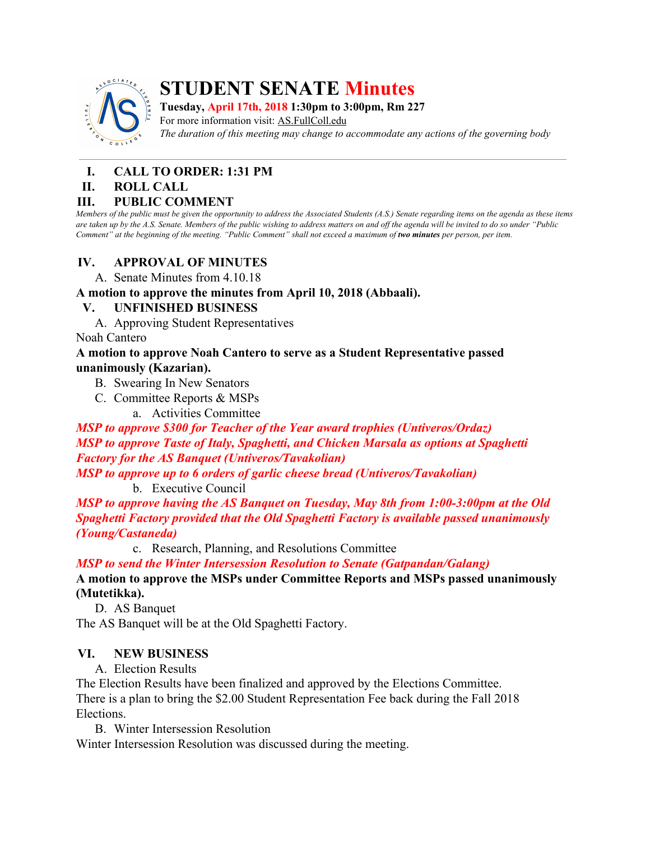

# **STUDENT SENATE Minutes**

**Tuesday, April 17th, 2018 1:30pm to 3:00pm, Rm 227**

For more information visit: AS.FullColl.edu *The duration of this meeting may change to accommodate any actions of the governing body*

# **I. CALL TO ORDER: 1:31 PM**

#### **II. ROLL CALL**

## **III. PUBLIC COMMENT**

Members of the public must be given the opportunity to address the Associated Students (A.S.) Senate regarding items on the agenda as these items are taken up by the A.S. Senate. Members of the public wishing to address matters on and off the agenda will be invited to do so under "Public Comment" at the beginning of the meeting. "Public Comment" shall not exceed a maximum of two minutes per person, per item.

## **IV. APPROVAL OF MINUTES**

A. Senate Minutes from 4.10.18

**A motion to approve the minutes from April 10, 2018 (Abbaali).**

## **V. UNFINISHED BUSINESS**

A. Approving Student Representatives

Noah Cantero

#### **A motion to approve Noah Cantero to serve as a Student Representative passed unanimously (Kazarian).**

- B. Swearing In New Senators
- C. Committee Reports & MSPs
	- a. Activities Committee

## *MSP to approve [\\$300](https://www.facebook.com/#) for Teacher of the Year award trophies (Untiveros/Ordaz) MSP to approve Taste of Italy, Spaghetti, and Chicken Marsala as options at Spaghetti Factory for the AS Banquet (Untiveros/Tavakolian)*

*MSP to approve up to 6 orders of garlic cheese bread (Untiveros/Tavakolian)* b. Executive Council

*MSP to approve having the AS Banquet on Tuesday, May 8th from 1:00-3:00pm at the Old Spaghetti Factory provided that the Old Spaghetti Factory is available passed unanimously (Young/Castaneda)*

c. Research, Planning, and Resolutions Committee

*MSP to send the Winter Intersession Resolution to Senate (Gatpandan/Galang)*

## **A motion to approve the MSPs under Committee Reports and MSPs passed unanimously (Mutetikka).**

D. AS Banquet

The AS Banquet will be at the Old Spaghetti Factory.

## **VI. NEW BUSINESS**

A. Election Results

The Election Results have been finalized and approved by the Elections Committee. There is a plan to bring the \$2.00 Student Representation Fee back during the Fall 2018 Elections.

B. Winter Intersession Resolution

Winter Intersession Resolution was discussed during the meeting.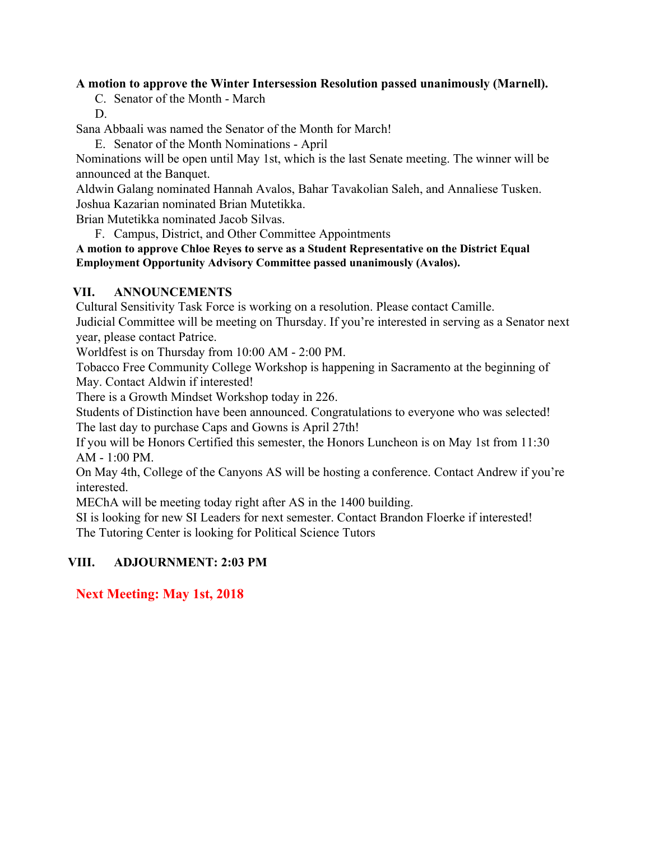## **A motion to approve the Winter Intersession Resolution passed unanimously (Marnell).**

- C. Senator of the Month March
- D.

Sana Abbaali was named the Senator of the Month for March!

E. Senator of the Month Nominations - April

Nominations will be open until May 1st, which is the last Senate meeting. The winner will be announced at the Banquet.

Aldwin Galang nominated Hannah Avalos, Bahar Tavakolian Saleh, and Annaliese Tusken. Joshua Kazarian nominated Brian Mutetikka.

Brian Mutetikka nominated Jacob Silvas.

F. Campus, District, and Other Committee Appointments

**A motion to approve Chloe Reyes to serve as a Student Representative on the District Equal Employment Opportunity Advisory Committee passed unanimously (Avalos).**

## **VII. ANNOUNCEMENTS**

Cultural Sensitivity Task Force is working on a resolution. Please contact Camille.

Judicial Committee will be meeting on Thursday. If you're interested in serving as a Senator next year, please contact Patrice.

Worldfest is on Thursday from 10:00 AM - 2:00 PM.

Tobacco Free Community College Workshop is happening in Sacramento at the beginning of May. Contact Aldwin if interested!

There is a Growth Mindset Workshop today in 226.

Students of Distinction have been announced. Congratulations to everyone who was selected! The last day to purchase Caps and Gowns is April 27th!

If you will be Honors Certified this semester, the Honors Luncheon is on May 1st from 11:30 AM - 1:00 PM.

On May 4th, College of the Canyons AS will be hosting a conference. Contact Andrew if you're interested.

MEChA will be meeting today right after AS in the 1400 building.

SI is looking for new SI Leaders for next semester. Contact Brandon Floerke if interested! The Tutoring Center is looking for Political Science Tutors

## **VIII. ADJOURNMENT: 2:03 PM**

## **Next Meeting: May 1st, 2018**